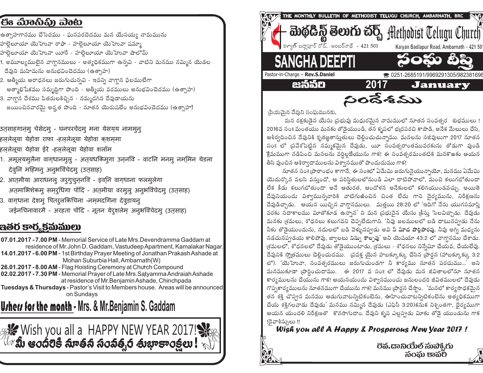## ිපිෘ ಮಿಾನಿಫ಼ು ವಾಟ

- ఉత్సాహగానము చేసెదము ఘనపరచెదము మన యేసయ్య నామమును
- హలెలూయా యెహువా రాఫా హలెలూయా యెహువా షమ్మా
- హలెలూయా యెహువా యీరే హలెలూయా యెహువా షాలోమ్
- 1. అమూల్యములైన వాగ్దానములు అత్యధికముగా ఉన్నవి వాటిని మనము నమ్మిన యెడల దేవుని మహిమను అనుభవించెదము (ఉత్సాహ)
- 2. ఆత్మీయ ఆరాధనలు జరుగుచున్నవి ఇవన్ని వాగ్దాన ఫలములేగా ఆత్మాభిషేకము సమృద్ధిగా పొంది - ఆత్మీయ వరములు అనుభవించెదము (ఉత్సాహ)
- 3. వాగ్దాన దేశము పితరులకిచ్చిన నమ్మదగిన దేవుడాయను జయించినవారమై అర్హత పొంది - నూతన యెరుషలేం అనుభవించెదము (ఉత్సాహా)

उत्**साहगान्**मु चेसेदमु - घनपरचेदमु मना येसय्**य नामम्**न्

- हललेलूया येहोवा राफा -हललेलूया येहोवा कशममा
- हललेलूया येहोवा ईरे -हललेलूया येहोवा शलॉम
- . अमूल्**यमुलैना वाग्**धानमुलु अत्**यधकिमुगा उन्**नवि वाटनि मनम् नममिन येडला देवुनि महिमन् अनुभविंचेदम् (उतसाह)
- 2. आतृमीया आराधनल् जर्**ग्**चुन्**नवि इव्**नि वाग्धाना फलमूलेगा अतमाभिशेकम् समुरुधिगा पोंदि - अतमीया वरमुल् अनुभविंचेदम् (उत् साह)
- 3. वाग्धाना देशम् पितर्*लकिचिना -नम्*मदगिना देवुडायन<mark>्</mark> जईनचिनावारमै - अरहता पोंदि - नूतन येरुशलेम अनुभविंचेदम् (उतसाह)

### ఇతర కార్మకమములు

07.01.2017 - 7.00 PM - Memorial Service of Late Mrs. Devendramma Gaddam at residence of Mr. John D. Gaddam, Vastudeep Apartment, Kamalakar Nagar. **14.01.2017 - 6.00 PM** - 1st Birthday Prayer Meeting of Jonathan Prakash Ashade at Mohan Suburbia Hall, Ambarnath (W) 26.01.2017 - 8.00 AM - Flag Hoisting Ceremony at Church Compound 02.02.2017 - 7.30 PM - Memorial Prayer of Late Mrs. Satyamma Andraiah Ashade at residence of Mr. Benjamin Ashade, Chinchpada Tuesdays & Thursdays - Pastor's Visit to Members house. Areas will be announced on Sundays

**Urhers for the month - Mrs. & Mr.Benjamin S. Gaddam** 

ु ‱ Wish you all a HAPPY NEW YEAR 2017!  $\mathbb{V}$ ్మీ ఆంద్రికి నూతన సంవత్సర తుభాకాంక్టలు !  $\mathbb{V}$ 



్రపియమెన దేవుని సంఘమునకు.

మన రక్షకుడైన యేసు ప్రభువు మధురమైన నామములో నూతన సంవత్సర శుభములు ! 2016వ సం။ మంతయు మనకు తోడైయుండి, తన కృపలో భ్రదపరచి కాపాడి, అనేక మేలులు చేసి, ఆశీర్వదించిన దేవునికి కృతజ్ఞతాసుతులు చెలించుచున్నాము. మనలను సజీవులుగా 2017 నూతన సం။ లో (పవేశపెట్టిన నమ్మకమైన దేవుడు, యీ సంవత్సరాంతమువరకును తోడుగా వుండి క్టేమముగా నడిపించి మనలను వర్ధిల్లజేయును గాక! ఈ సంవత్సరమంతటికి మనకొఱకు ఆయన తీసి వుంచిన ఆశీర్వాదాములను విశ్వాసముతో పొందుదుము గాక!

నూతన సం॥ (పారాంభం కాగానే, ఈ సం॥లో ఏమేమి జరుగునైయున్నాయో, మనము ఏమేమి యెదుర్కొన వలసి వస్తుందో, ఆ పరిస్థితులలోనుండి ఎలా దాటిపోవాలో, మంచి కలుగబోతుందా లేక కీడు కలుగబోతుందా అనే ఆతురత, ఆందోళన అనేకులలో కలిగియుండవచ్చు. అయితె దేవునియందు విశ్వామున్నవారికి వాటిగుఱించిన చింత లేదు గాని దైర్యమును, నిరీక్షణను దేవుడిచ్చాడు. ఆయన యిచ్చిన వాగ్ధానములు. మత్తయి 28:20 లో 'ఇదిగో నేను యుగసమాషి వరకు సదాకాలము విూతోకూడ ఉన్నాన' ని మన ప్రభువెన యేసు క్రీసు సెలవిచ్చాడు. దేవుడు మనకు తమలు, శోధనలు కలుగవని చెప్పలేదుగాని. 'నీవు జలములలో బడి దాటునప్పట నేను నీకు తోడైయుందును, నదులలో బడి వెళ్ళునప్పట అవి నీ విూద పొర్లిపారవు. నీవు అగ్ని మధ్యను నడచునప్పడయ కాలిపోవు, జ్వాలలు నిమ్న కాల్పవు' అని యెషయా 43:2 లో వాగ్గానము చేశాడు. (శమలలో, శోధనలలో దేవుడు తోడైయుంటాడు, (శమలు - శోధనలు నిస్నేమిా చేయవ, చేయలేవు. దేవునికి స్మోతములు చెల్లించుదము. (పవక్త యైన హబక్కూక్కు చేసిన (పార్గన (హాబక్కూక్కు 3:2 లో). 'యెహెువా, సంవత్సరములు జరుగుచుండగా నీ కార్యము నూతన పరచుము...' అని మనముకూడా (పార్ధించుదాము. ఈ 2017 వ సం။ లో దేవుడు మన జీవితాలలోనూ నూతన కార్యములను చేయును గాక! ఆయనయందు విశ్వాసముంచు జనులందరి జీవితములలో దేవుడు గొప్పకార్యములను నూతనముగా చేయును గాక! మనము (పార్గన చేస్తాం. 'మనలో కార్యసాధకమైన తన శక్తి చొప్పన మనము ఆడుగువాటన్నిటికంటెను, ఊహించువాటన్నిటికంటెను అత్యధికముగా చేయ శక్తిగలవాడు దేవుడు' మనము నమ్మిన దేవుడు (ఎఫిసీ 3:20)కనుక నిశ్చింతగా, ధైర్యముగా ఆయన యందలి నిరీక్షణతొ కొనసాగుదాం. దేవుని కృప ఎలప్పడు మీకు తోడె యుండును గాక !దెవాశీస్సులు !!

Wish you all A Happy & Prosperous New Year 2017!



ටිති. ශාඩ්රෝංචි බාබව්, රා බිරකා පෘත්වී